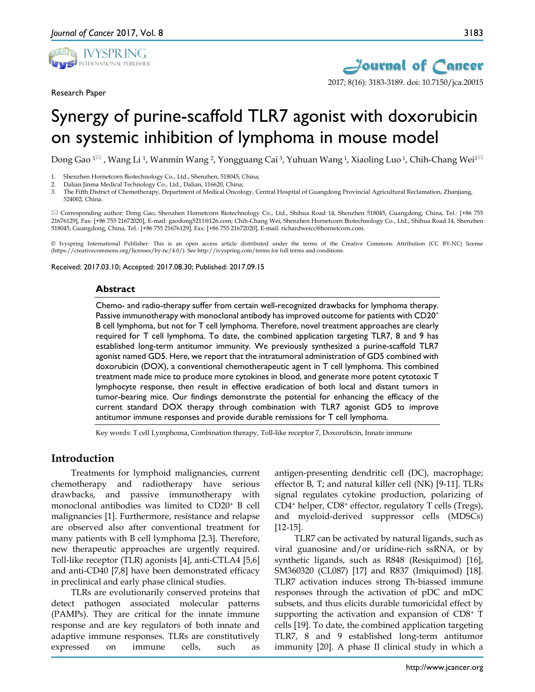

Research Paper



# Synergy of purine-scaffold TLR7 agonist with doxorubicin on systemic inhibition of lymphoma in mouse model

Dong Gao <sup>1⊠</sup>, Wang Li <sup>1</sup>, Wanmin Wang <sup>2</sup>, Yongguang Cai <sup>3</sup>, Yuhuan Wang <sup>1</sup>, Xiaoling Luo <sup>1</sup>, Chih-Chang Wei<sup>1⊠</sup>

2. Dalian Jinma Medical Technology Co., Ltd., Dalian, 116620, China;<br><sup>3</sup> The Eifth District of Chemotherany, Department of Medical Opcolo

3. The Fifth District of Chemotherapy, Department of Medical Oncology, Central Hospital of Guangdong Provincial Agricultural Reclamation, Zhanjiang, 524002, China.

 Corresponding author: Dong Gao, Shenzhen Hornetcorn Biotechnology Co., Ltd., Shihua Road 14, Shenzhen 518045, Guangdong, China, Tel.: [+86 755 21676129], Fax: [+86 755 21672020], E-mail: gaodong5211@126.com; Chih-Chang Wei, Shenzhen Hornetcorn Biotechnology Co., Ltd., Shihua Road 14, Shenzhen 518045, Guangdong, China, Tel.: [+86 755 21676129], Fax: [+86 755 21672020], E-mail: richardweicc@hornetcorn.com.

© Ivyspring International Publisher. This is an open access article distributed under the terms of the Creative Commons Attribution (CC BY-NC) license (https://creativecommons.org/licenses/by-nc/4.0/). See http://ivyspring.com/terms for full terms and conditions.

Received: 2017.03.10; Accepted: 2017.08.30; Published: 2017.09.15

#### **Abstract**

Chemo- and radio-therapy suffer from certain well-recognized drawbacks for lymphoma therapy. Passive immunotherapy with monoclonal antibody has improved outcome for patients with CD20<sup>+</sup> B cell lymphoma, but not for T cell lymphoma. Therefore, novel treatment approaches are clearly required for T cell lymphoma. To date, the combined application targeting TLR7, 8 and 9 has established long-term antitumor immunity. We previously synthesized a purine-scaffold TLR7 agonist named GD5. Here, we report that the intratumoral administration of GD5 combined with doxorubicin (DOX), a conventional chemotherapeutic agent in T cell lymphoma. This combined treatment made mice to produce more cytokines in blood, and generate more potent cytotoxic T lymphocyte response, then result in effective eradication of both local and distant tumors in tumor-bearing mice. Our findings demonstrate the potential for enhancing the efficacy of the current standard DOX therapy through combination with TLR7 agonist GD5 to improve antitumor immune responses and provide durable remissions for T cell lymphoma.

Key words: T cell Lymphoma, Combination therapy, Toll-like receptor 7, Doxorubicin, Innate immune

# **Introduction**

Treatments for lymphoid malignancies, current chemotherapy and radiotherapy have serious drawbacks, and passive immunotherapy with monoclonal antibodies was limited to CD20+ B cell malignancies [1]. Furthermore, resistance and relapse are observed also after conventional treatment for many patients with B cell lymphoma [2,3]. Therefore, new therapeutic approaches are urgently required. Toll-like receptor (TLR) agonists [4], anti-CTLA4 [5,6] and anti-CD40 [7,8] have been demonstrated efficacy in preclinical and early phase clinical studies.

TLRs are evolutionarily conserved proteins that detect pathogen associated molecular patterns (PAMPs). They are critical for the innate immune response and are key regulators of both innate and adaptive immune responses. TLRs are constitutively expressed on immune cells, such as

antigen-presenting dendritic cell (DC), macrophage; effector B, T; and natural killer cell (NK) [9-11]. TLRs signal regulates cytokine production, polarizing of CD4+ helper, CD8+ effector, regulatory T cells (Tregs), and myeloid-derived suppressor cells (MDSCs) [12-15].

TLR7 can be activated by natural ligands, such as viral guanosine and/or uridine-rich ssRNA, or by synthetic ligands, such as R848 (Resiquimod) [16], SM360320 (CL087) [17] and R837 (Imiquimod) [18]. TLR7 activation induces strong Th-biassed immune responses through the activation of pDC and mDC subsets, and thus elicits durable tumoricidal effect by supporting the activation and expansion of CD8+ T cells [19]. To date, the combined application targeting TLR7, 8 and 9 established long-term antitumor immunity [20]. A phase II clinical study in which a

<sup>1.</sup> Shenzhen Hornetcorn Biotechnology Co., Ltd., Shenzhen, 518045, China;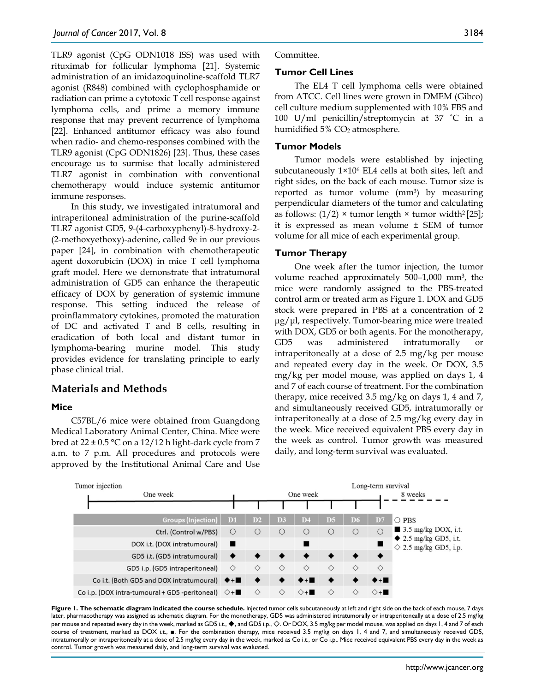TLR9 agonist (CpG ODN1018 ISS) was used with rituximab for follicular lymphoma [21]. Systemic administration of an imidazoquinoline-scaffold TLR7 agonist (R848) combined with cyclophosphamide or radiation can prime a cytotoxic T cell response against lymphoma cells, and prime a memory immune response that may prevent recurrence of lymphoma [22]. Enhanced antitumor efficacy was also found when radio- and chemo-responses combined with the TLR9 agonist (CpG ODN1826) [23]. Thus, these cases encourage us to surmise that locally administered TLR7 agonist in combination with conventional chemotherapy would induce systemic antitumor immune responses.

In this study, we investigated intratumoral and intraperitoneal administration of the purine-scaffold TLR7 agonist GD5, 9-(4-carboxyphenyl)-8-hydroxy-2- (2-methoxyethoxy)-adenine, called 9e in our previous paper [24], in combination with chemotherapeutic agent doxorubicin (DOX) in mice T cell lymphoma graft model. Here we demonstrate that intratumoral administration of GD5 can enhance the therapeutic efficacy of DOX by generation of systemic immune response. This setting induced the release of proinflammatory cytokines, promoted the maturation of DC and activated T and B cells, resulting in eradication of both local and distant tumor in lymphoma-bearing murine model. This study provides evidence for translating principle to early phase clinical trial.

# **Materials and Methods**

#### **Mice**

C57BL/6 mice were obtained from Guangdong Medical Laboratory Animal Center, China. Mice were bred at  $22 \pm 0.5$  °C on a 12/12 h light-dark cycle from 7 a.m. to 7 p.m. All procedures and protocols were approved by the Institutional Animal Care and Use Committee.

#### **Tumor Cell Lines**

The EL4 T cell lymphoma cells were obtained from ATCC. Cell lines were grown in DMEM (Gibco) cell culture medium supplemented with 10% FBS and 100 U/ml penicillin/streptomycin at 37 ˚C in a humidified  $5\%$  CO<sub>2</sub> atmosphere.

### **Tumor Models**

Tumor models were established by injecting subcutaneously 1×106 EL4 cells at both sites, left and right sides, on the back of each mouse. Tumor size is reported as tumor volume (mm3) by measuring perpendicular diameters of the tumor and calculating as follows:  $(1/2)$  × tumor length × tumor width<sup>2</sup> [25]; it is expressed as mean volume ± SEM of tumor volume for all mice of each experimental group.

## **Tumor Therapy**

One week after the tumor injection, the tumor volume reached approximately 500–1,000 mm3, the mice were randomly assigned to the PBS-treated control arm or treated arm as Figure 1. DOX and GD5 stock were prepared in PBS at a concentration of 2 μg/μl, respectively. Tumor-bearing mice were treated with DOX, GD5 or both agents. For the monotherapy, GD5 was administered intratumorally intraperitoneally at a dose of 2.5 mg/kg per mouse and repeated every day in the week. Or DOX, 3.5 mg/kg per model mouse, was applied on days 1, 4 and 7 of each course of treatment. For the combination therapy, mice received 3.5 mg/kg on days 1, 4 and 7, and simultaneously received GD5, intratumorally or intraperitoneally at a dose of 2.5 mg/kg every day in the week. Mice received equivalent PBS every day in the week as control. Tumor growth was measured daily, and long-term survival was evaluated.



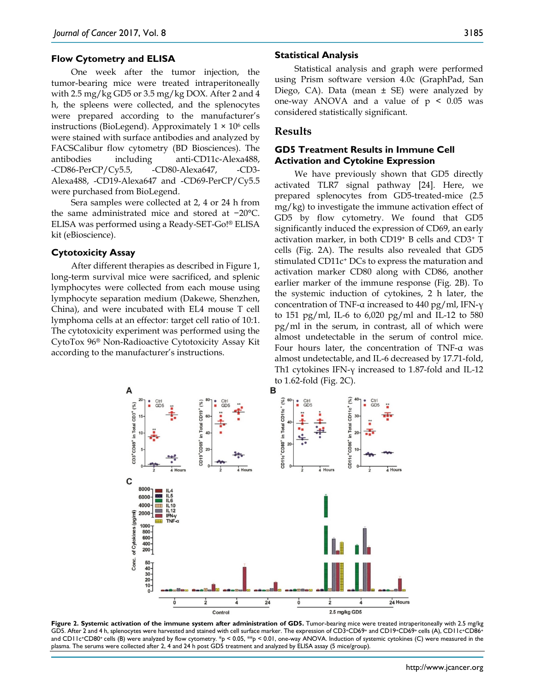#### **Flow Cytometry and ELISA**

One week after the tumor injection, the tumor-bearing mice were treated intraperitoneally with 2.5 mg/kg GD5 or 3.5 mg/kg DOX. After 2 and 4 h, the spleens were collected, and the splenocytes were prepared according to the manufacturer's instructions (BioLegend). Approximately  $1 \times 10^6$  cells were stained with surface antibodies and analyzed by FACSCalibur flow cytometry (BD Biosciences). The antibodies including anti-CD11c-Alexa488, -CD86-PerCP/Cy5.5, -CD80-Alexa647, -CD3- Alexa488, -CD19-Alexa647 and -CD69-PerCP/Cy5.5 were purchased from BioLegend.

Sera samples were collected at 2, 4 or 24 h from the same administrated mice and stored at −20°C. ELISA was performed using a Ready-SET-Go!® ELISA kit (eBioscience).

#### **Cytotoxicity Assay**

After different therapies as described in Figure 1, long-term survival mice were sacrificed, and splenic lymphocytes were collected from each mouse using lymphocyte separation medium (Dakewe, Shenzhen, China), and were incubated with EL4 mouse T cell lymphoma cells at an effector: target cell ratio of 10:1. The cytotoxicity experiment was performed using the CytoTox 96® Non-Radioactive Cytotoxicity Assay Kit according to the manufacturer's instructions.

#### **Statistical Analysis**

Statistical analysis and graph were performed using Prism software version 4.0c (GraphPad, San Diego, CA). Data (mean  $\pm$  SE) were analyzed by one-way ANOVA and a value of  $p < 0.05$  was considered statistically significant.

### **Results**

### **GD5 Treatment Results in Immune Cell Activation and Cytokine Expression**

We have previously shown that GD5 directly activated TLR7 signal pathway [24]. Here, we prepared splenocytes from GD5-treated-mice (2.5 mg/kg) to investigate the immune activation effect of GD5 by flow cytometry. We found that GD5 significantly induced the expression of CD69, an early activation marker, in both CD19+ B cells and CD3+ T cells (Fig. 2A). The results also revealed that GD5 stimulated CD11c+ DCs to express the maturation and activation marker CD80 along with CD86, another earlier marker of the immune response (Fig. 2B). To the systemic induction of cytokines, 2 h later, the concentration of TNF-α increased to 440 pg/ml, IFN-γ to 151 pg/ml, IL-6 to 6,020 pg/ml and IL-12 to 580 pg/ml in the serum, in contrast, all of which were almost undetectable in the serum of control mice. Four hours later, the concentration of TNF-α was almost undetectable, and IL-6 decreased by 17.71-fold, Th1 cytokines IFN-γ increased to 1.87-fold and IL-12 to 1.62-fold (Fig. 2C).



**Figure 2. Systemic activation of the immune system after administration of GD5.** Tumor-bearing mice were treated intraperitoneally with 2.5 mg/kg GD5. After 2 and 4 h, splenocytes were harvested and stained with cell surface marker. The expression of CD3+CD69+ and CD19+CD69+ cells (A), CD11c+CD86+ and CD11c+CD80+ cells (B) were analyzed by flow cytometry. \*p < 0.05, \*\*p < 0.01, one-way ANOVA. Induction of systemic cytokines (C) were measured in the plasma. The serums were collected after 2, 4 and 24 h post GD5 treatment and analyzed by ELISA assay (5 mice/group).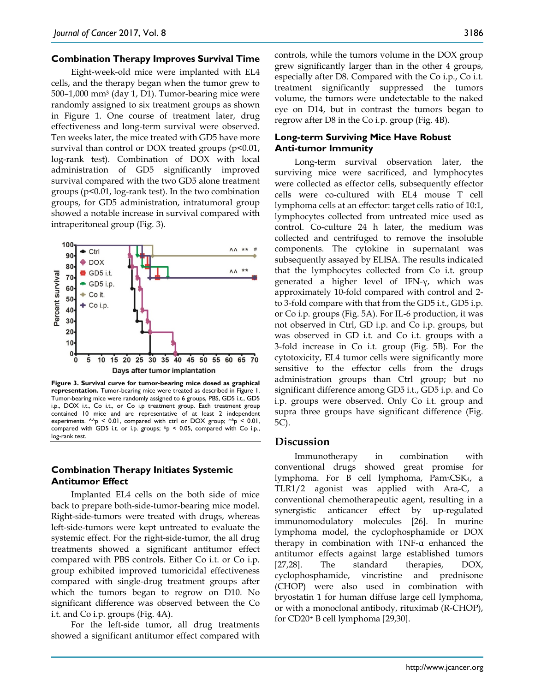#### **Combination Therapy Improves Survival Time**

Eight-week-old mice were implanted with EL4 cells, and the therapy began when the tumor grew to 500–1,000 mm3 (day 1, D1). Tumor-bearing mice were randomly assigned to six treatment groups as shown in Figure 1. One course of treatment later, drug effectiveness and long-term survival were observed. Ten weeks later, the mice treated with GD5 have more survival than control or DOX treated groups (p<0.01, log-rank test). Combination of DOX with local administration of GD5 significantly improved survival compared with the two GD5 alone treatment groups (p<0.01, log-rank test). In the two combination groups, for GD5 administration, intratumoral group showed a notable increase in survival compared with intraperitoneal group (Fig. 3).



**Figure 3. Survival curve for tumor-bearing mice dosed as graphical representation.** Tumor-bearing mice were treated as described in Figure 1. Tumor-bearing mice were randomly assigned to 6 groups, PBS, GD5 i.t., GD5 i.p., DOX i.t., Co i.t., or Co i.p treatment group. Each treatment group contained 10 mice and are representative of at least 2 independent experiments.  $^{\wedge}$  p < 0.01, compared with ctrl or DOX group;  $^{**}$  p < 0.01, compared with GD5 i.t. or i.p. groups;  $#p < 0.05$ , compared with Co i.p., log-rank test.

## **Combination Therapy Initiates Systemic Antitumor Effect**

Implanted EL4 cells on the both side of mice back to prepare both-side-tumor-bearing mice model. Right-side-tumors were treated with drugs, whereas left-side-tumors were kept untreated to evaluate the systemic effect. For the right-side-tumor, the all drug treatments showed a significant antitumor effect compared with PBS controls. Either Co i.t. or Co i.p. group exhibited improved tumoricidal effectiveness compared with single-drug treatment groups after which the tumors began to regrow on D10. No significant difference was observed between the Co i.t. and Co i.p. groups (Fig. 4A).

For the left-side tumor, all drug treatments showed a significant antitumor effect compared with controls, while the tumors volume in the DOX group grew significantly larger than in the other 4 groups, especially after D8. Compared with the Co i.p., Co i.t. treatment significantly suppressed the tumors volume, the tumors were undetectable to the naked eye on D14, but in contrast the tumors began to regrow after D8 in the Co i.p. group (Fig. 4B).

## **Long-term Surviving Mice Have Robust Anti-tumor Immunity**

Long-term survival observation later, the surviving mice were sacrificed, and lymphocytes were collected as effector cells, subsequently effector cells were co-cultured with EL4 mouse T cell lymphoma cells at an effector: target cells ratio of 10:1, lymphocytes collected from untreated mice used as control. Co-culture 24 h later, the medium was collected and centrifuged to remove the insoluble components. The cytokine in supernatant was subsequently assayed by ELISA. The results indicated that the lymphocytes collected from Co i.t. group generated a higher level of IFN-γ, which was approximately 10-fold compared with control and 2 to 3-fold compare with that from the GD5 i.t., GD5 i.p. or Co i.p. groups (Fig. 5A). For IL-6 production, it was not observed in Ctrl, GD i.p. and Co i.p. groups, but was observed in GD i.t. and Co i.t. groups with a 3-fold increase in Co i.t. group (Fig. 5B). For the cytotoxicity, EL4 tumor cells were significantly more sensitive to the effector cells from the drugs administration groups than Ctrl group; but no significant difference among GD5 i.t., GD5 i.p. and Co i.p. groups were observed. Only Co i.t. group and supra three groups have significant difference (Fig. 5C).

#### **Discussion**

Immunotherapy in combination with conventional drugs showed great promise for lymphoma. For B cell lymphoma, Pam<sub>3</sub>CSK<sub>4</sub>, a TLR1/2 agonist was applied with Ara-C, a conventional chemotherapeutic agent, resulting in a synergistic anticancer effect by up-regulated immunomodulatory molecules [26]. In murine lymphoma model, the cyclophosphamide or DOX therapy in combination with TNF-α enhanced the antitumor effects against large established tumors [27,28]. The standard therapies, DOX, cyclophosphamide, vincristine and prednisone (CHOP) were also used in combination with bryostatin 1 for human diffuse large cell lymphoma, or with a monoclonal antibody, rituximab (R-CHOP), for CD20+ B cell lymphoma [29,30].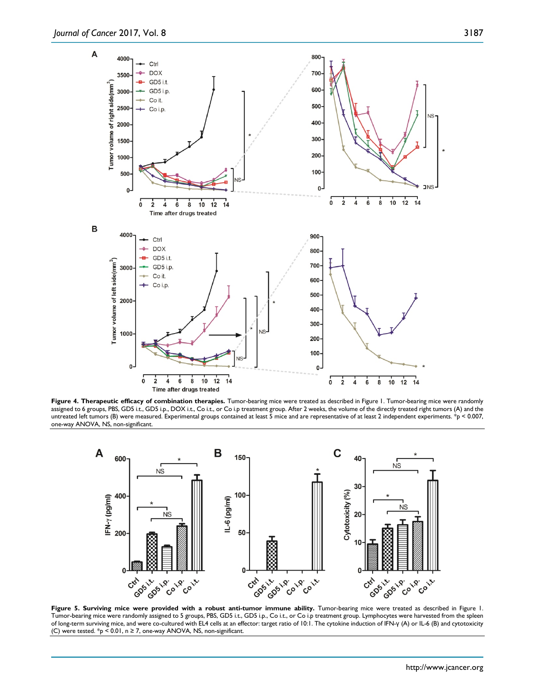

**Figure 4. Therapeutic efficacy of combination therapies.** Tumor-bearing mice were treated as described in Figure 1. Tumor-bearing mice were randomly assigned to 6 groups, PBS, GD5 i.t., GD5 i.p., DOX i.t., Co i.t., or Co i.p treatment group. After 2 weeks, the volume of the directly treated right tumors (A) and the untreated left tumors (B) were measured. Experimental groups contained at least 5 mice and are representative of at least 2 independent experiments. \*p < 0.007, one-way ANOVA, NS, non-significant.



Figure 5. Surviving mice were provided with a robust anti-tumor immune ability. Tumor-bearing mice were treated as described in Figure 1. Tumor-bearing mice were randomly assigned to 5 groups, PBS, GD5 i.t., GD5 i.p., Co i.t., or Co i.p treatment group. Lymphocytes were harvested from the spleen of long-term surviving mice, and were co-cultured with EL4 cells at an effector: target ratio of 10:1. The cytokine induction of IFN-γ (A) or IL-6 (B) and cytotoxicity (C) were tested.  $*_{p}$  < 0.01, n ≥ 7, one-way ANOVA, NS, non-significant.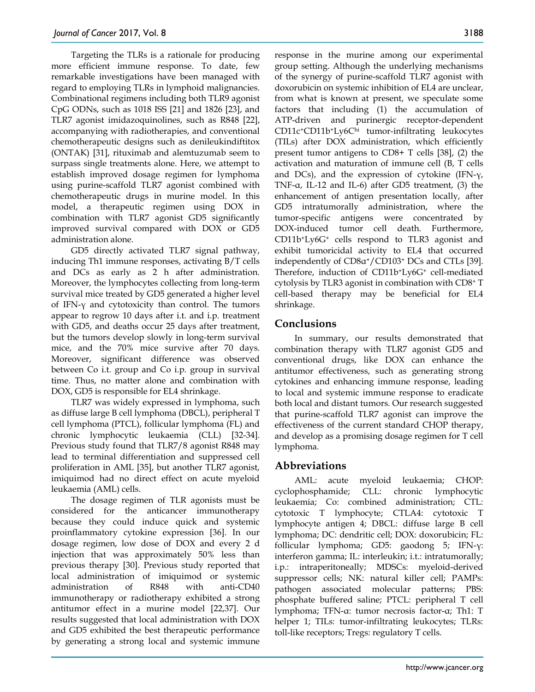Targeting the TLRs is a rationale for producing more efficient immune response. To date, few remarkable investigations have been managed with regard to employing TLRs in lymphoid malignancies. Combinational regimens including both TLR9 agonist CpG ODNs, such as 1018 ISS [21] and 1826 [23], and TLR7 agonist imidazoquinolines, such as R848 [22], accompanying with radiotherapies, and conventional chemotherapeutic designs such as denileukindiftitox (ONTAK) [31], rituximab and alemtuzumab seem to surpass single treatments alone. Here, we attempt to establish improved dosage regimen for lymphoma using purine-scaffold TLR7 agonist combined with chemotherapeutic drugs in murine model. In this model, a therapeutic regimen using DOX in combination with TLR7 agonist GD5 significantly improved survival compared with DOX or GD5 administration alone.

GD5 directly activated TLR7 signal pathway, inducing Th1 immune responses, activating B/T cells and DCs as early as 2 h after administration. Moreover, the lymphocytes collecting from long-term survival mice treated by GD5 generated a higher level of IFN-γ and cytotoxicity than control. The tumors appear to regrow 10 days after i.t. and i.p. treatment with GD5, and deaths occur 25 days after treatment, but the tumors develop slowly in long-term survival mice, and the 70% mice survive after 70 days. Moreover, significant difference was observed between Co i.t. group and Co i.p. group in survival time. Thus, no matter alone and combination with DOX, GD5 is responsible for EL4 shrinkage.

TLR7 was widely expressed in lymphoma, such as diffuse large B cell lymphoma (DBCL), peripheral T cell lymphoma (PTCL), follicular lymphoma (FL) and chronic lymphocytic leukaemia (CLL) [32-34]. Previous study found that TLR7/8 agonist R848 may lead to terminal differentiation and suppressed cell proliferation in AML [35], but another TLR7 agonist, imiquimod had no direct effect on acute myeloid leukaemia (AML) cells.

The dosage regimen of TLR agonists must be considered for the anticancer immunotherapy because they could induce quick and systemic proinflammatory cytokine expression [36]. In our dosage regimen, low dose of DOX and every 2 d injection that was approximately 50% less than previous therapy [30]. Previous study reported that local administration of imiquimod or systemic administration of R848 with anti-CD40 immunotherapy or radiotherapy exhibited a strong antitumor effect in a murine model [22,37]. Our results suggested that local administration with DOX and GD5 exhibited the best therapeutic performance by generating a strong local and systemic immune

response in the murine among our experimental group setting. Although the underlying mechanisms of the synergy of purine-scaffold TLR7 agonist with doxorubicin on systemic inhibition of EL4 are unclear, from what is known at present, we speculate some factors that including (1) the accumulation of ATP-driven and purinergic receptor-dependent CD11c+CD11b+Ly6Chi tumor-infiltrating leukocytes (TILs) after DOX administration, which efficiently present tumor antigens to CD8+ T cells [38], (2) the activation and maturation of immune cell (B, T cells and DCs), and the expression of cytokine  $(IFN-\gamma)$ , TNF-α, IL-12 and IL-6) after GD5 treatment, (3) the enhancement of antigen presentation locally, after GD5 intratumorally administration, where the tumor-specific antigens were concentrated by DOX-induced tumor cell death. Furthermore, CD11b+Ly6G+ cells respond to TLR3 agonist and exhibit tumoricidal activity to EL4 that occurred independently of CD8α+/CD103+ DCs and CTLs [39]. Therefore, induction of CD11b+Ly6G+ cell-mediated cytolysis by TLR3 agonist in combination with CD8+ T cell-based therapy may be beneficial for EL4 shrinkage.

# **Conclusions**

In summary, our results demonstrated that combination therapy with TLR7 agonist GD5 and conventional drugs, like DOX can enhance the antitumor effectiveness, such as generating strong cytokines and enhancing immune response, leading to local and systemic immune response to eradicate both local and distant tumors. Our research suggested that purine-scaffold TLR7 agonist can improve the effectiveness of the current standard CHOP therapy, and develop as a promising dosage regimen for T cell lymphoma.

# **Abbreviations**

AML: acute myeloid leukaemia; CHOP: cyclophosphamide; CLL: chronic lymphocytic leukaemia; Co: combined administration; CTL: cytotoxic T lymphocyte; CTLA4: cytotoxic T lymphocyte antigen 4; DBCL: diffuse large B cell lymphoma; DC: dendritic cell; DOX: doxorubicin; FL: follicular lymphoma; GD5: gaodong 5; IFN-γ: interferon gamma; IL: interleukin; i.t.: intratumorally; i.p.: intraperitoneally; MDSCs: myeloid-derived suppressor cells; NK: natural killer cell; PAMPs: pathogen associated molecular patterns; PBS: phosphate buffered saline; PTCL: peripheral T cell lymphoma; TFN-α: tumor necrosis factor-α; Th1: T helper 1; TILs: tumor-infiltrating leukocytes; TLRs: toll-like receptors; Tregs: regulatory T cells.